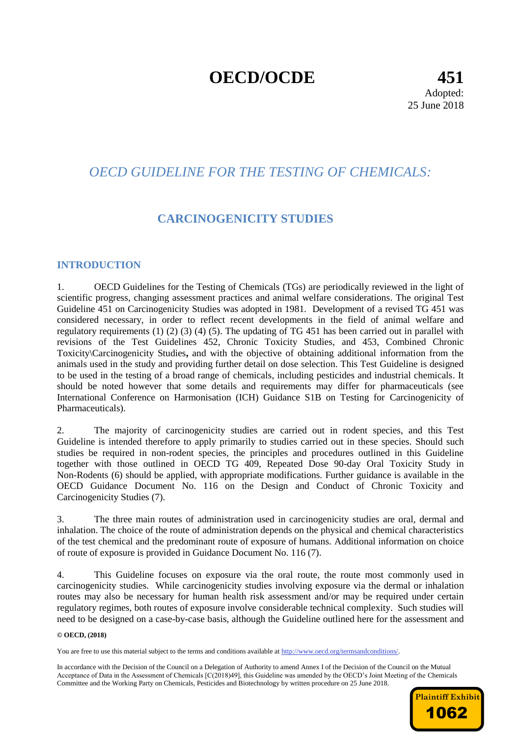# **OECD/OCDE 451**

# *OECD GUIDELINE FOR THE TESTING OF CHEMICALS:*

# **CARCINOGENICITY STUDIES**

# **INTRODUCTION**

1. OECD Guidelines for the Testing of Chemicals (TGs) are periodically reviewed in the light of scientific progress, changing assessment practices and animal welfare considerations. The original Test Guideline 451 on Carcinogenicity Studies was adopted in 1981. Development of a revised TG 451 was considered necessary, in order to reflect recent developments in the field of animal welfare and regulatory requirements (1) (2) (3) (4) (5). The updating of TG 451 has been carried out in parallel with revisions of the Test Guidelines 452, Chronic Toxicity Studies, and 453, Combined Chronic Toxicity\Carcinogenicity Studies**,** and with the objective of obtaining additional information from the animals used in the study and providing further detail on dose selection. This Test Guideline is designed to be used in the testing of a broad range of chemicals, including pesticides and industrial chemicals. It should be noted however that some details and requirements may differ for pharmaceuticals (see International Conference on Harmonisation (ICH) Guidance S1B on Testing for Carcinogenicity of Pharmaceuticals).

2. The majority of carcinogenicity studies are carried out in rodent species, and this Test Guideline is intended therefore to apply primarily to studies carried out in these species. Should such studies be required in non-rodent species, the principles and procedures outlined in this Guideline together with those outlined in OECD TG 409, Repeated Dose 90-day Oral Toxicity Study in Non-Rodents (6) should be applied, with appropriate modifications. Further guidance is available in the OECD Guidance Document No. 116 on the Design and Conduct of Chronic Toxicity and Carcinogenicity Studies (7).

3. The three main routes of administration used in carcinogenicity studies are oral, dermal and inhalation. The choice of the route of administration depends on the physical and chemical characteristics of the test chemical and the predominant route of exposure of humans. Additional information on choice of route of exposure is provided in Guidance Document No. 116 (7).

4. This Guideline focuses on exposure via the oral route, the route most commonly used in carcinogenicity studies. While carcinogenicity studies involving exposure via the dermal or inhalation routes may also be necessary for human health risk assessment and/or may be required under certain regulatory regimes, both routes of exposure involve considerable technical complexity. Such studies will need to be designed on a case-by-case basis, although the Guideline outlined here for the assessment and

#### **© OECD, (2018)**

You are free to use this material subject to the terms and conditions available at [http://www.oecd.org/termsandconditions/.](http://www.oecd.org/termsandconditions/)

In accordance with the Decision of the Council on a Delegation of Authority to amend Annex I of the Decision of the Council on the Mutual Acceptance of Data in the Assessment of Chemicals [C(2018)49], this Guideline was amended by the OECD's Joint Meeting of the Chemicals Committee and the Working Party on Chemicals, Pesticides and Biotechnology by written procedure on 25 June 2018.

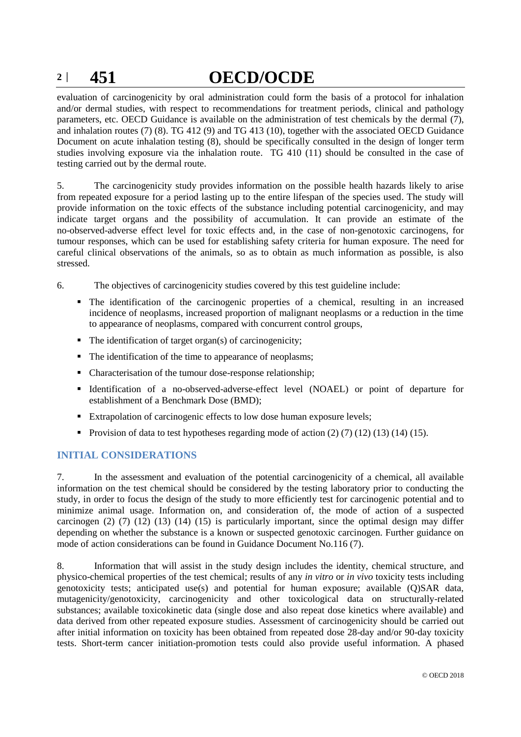evaluation of carcinogenicity by oral administration could form the basis of a protocol for inhalation and/or dermal studies, with respect to recommendations for treatment periods, clinical and pathology parameters, etc. OECD Guidance is available on the administration of test chemicals by the dermal (7), and inhalation routes (7) (8). TG 412 (9) and TG 413 (10), together with the associated OECD Guidance Document on acute inhalation testing (8), should be specifically consulted in the design of longer term studies involving exposure via the inhalation route. TG 410 (11) should be consulted in the case of testing carried out by the dermal route.

5. The [carcinogenicity](https://www.baumhedlundlaw.com/toxic-tort-law/monsanto-roundup-lawsuit/) study provides information on the possible health hazards likely to arise from repeated exposure for a period lasting up to the entire lifespan of the species used. The study will provide information on the toxic effects of the substance including potential carcinogenicity, and may indicate target organs and the possibility of accumulation. It can provide an estimate of the no-observed-adverse effect level for toxic effects and, in the case of non-genotoxic carcinogens, for tumour responses, which can be used for establishing safety criteria for human exposure. The need for careful clinical observations of the animals, so as to obtain as much information as possible, is also stressed.

- 6. The objectives of carcinogenicity studies covered by this test guideline include:
	- The identification of the carcinogenic properties of a chemical, resulting in an increased incidence of neoplasms, increased proportion of malignant neoplasms or a reduction in the time to appearance of neoplasms, compared with concurrent control groups,
	- $\blacksquare$  The identification of target organ(s) of carcinogenicity;
	- The identification of the time to appearance of neoplasms;
	- Characterisation of the tumour dose-response relationship;
	- Identification of a no-observed-adverse-effect level (NOAEL) or point of departure for establishment of a Benchmark Dose (BMD);
	- Extrapolation of carcinogenic effects to low dose human exposure levels;
	- Provision of data to test hypotheses regarding mode of action  $(2)$   $(7)$   $(12)$   $(13)$   $(14)$   $(15)$ .

# **INITIAL CONSIDERATIONS**

7. In the assessment and evaluation of the potential carcinogenicity of a chemical, all available information on the test chemical should be considered by the testing laboratory prior to conducting the study, in order to focus the design of the study to more efficiently test for carcinogenic potential and to minimize animal usage. Information on, and consideration of, the mode of action of a suspected carcinogen (2) (7) (12) (13) (14) (15) is particularly important, since the optimal design may differ depending on whether the substance is a known or suspected genotoxic carcinogen. Further guidance on mode of action considerations can be found in Guidance Document No.116 (7).

8. Information that will assist in the study design includes the identity, chemical structure, and physico-chemical properties of the test chemical; results of any *in vitro* or *in vivo* toxicity tests including genotoxicity tests; anticipated use(s) and potential for human exposure; available (Q)SAR data, mutagenicity/genotoxicity, carcinogenicity and other toxicological data on structurally-related substances; available toxicokinetic data (single dose and also repeat dose kinetics where available) and data derived from other repeated exposure studies. Assessment of carcinogenicity should be carried out after initial information on toxicity has been obtained from repeated dose 28-day and/or 90-day toxicity tests. Short-term cancer initiation-promotion tests could also provide useful information. A phased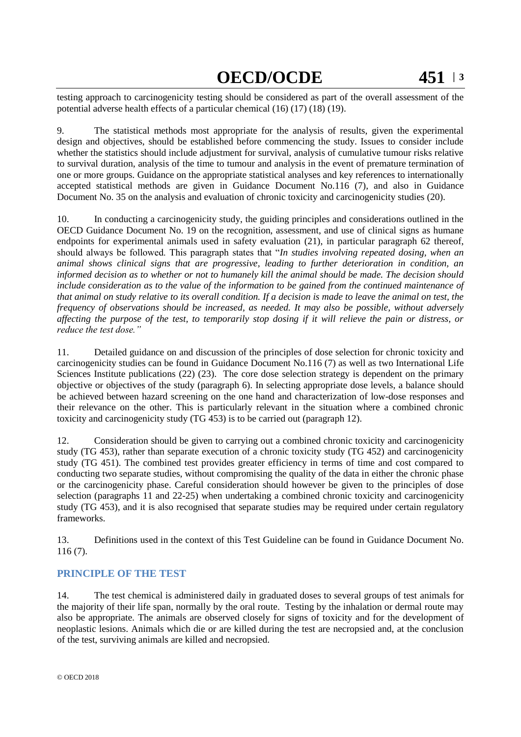testing approach to carcinogenicity testing should be considered as part of the overall assessment of the potential adverse health effects of a particular chemical (16) (17) (18) (19).

9. The statistical methods most appropriate for the analysis of results, given the experimental design and objectives, should be established before commencing the study. Issues to consider include whether the statistics should include adjustment for survival, analysis of cumulative tumour risks relative to survival duration, analysis of the time to tumour and analysis in the event of premature termination of one or more groups. Guidance on the appropriate statistical analyses and key references to internationally accepted statistical methods are given in Guidance Document No.116 (7), and also in Guidance Document No. 35 on the analysis and evaluation of chronic toxicity and carcinogenicity studies (20).

10. In conducting a carcinogenicity study, the guiding principles and considerations outlined in the OECD Guidance Document No. 19 on the recognition, assessment, and use of clinical signs as humane endpoints for experimental animals used in safety evaluation (21), in particular paragraph 62 thereof, should always be followed. This paragraph states that "*In studies involving repeated dosing, when an animal shows clinical signs that are progressive, leading to further deterioration in condition, an informed decision as to whether or not to humanely kill the animal should be made. The decision should include consideration as to the value of the information to be gained from the continued maintenance of that animal on study relative to its overall condition. If a decision is made to leave the animal on test, the frequency of observations should be increased, as needed. It may also be possible, without adversely affecting the purpose of the test, to temporarily stop dosing if it will relieve the pain or distress, or reduce the test dose."*

11. Detailed guidance on and discussion of the principles of dose selection for chronic toxicity and carcinogenicity studies can be found in Guidance Document No.116 (7) as well as two International Life Sciences Institute publications (22) (23). The core dose selection strategy is dependent on the primary objective or objectives of the study (paragraph 6). In selecting appropriate dose levels, a balance should be achieved between hazard screening on the one hand and characterization of low-dose responses and their relevance on the other. This is particularly relevant in the situation where a combined chronic toxicity and carcinogenicity study (TG 453) is to be carried out (paragraph 12).

12. Consideration should be given to carrying out a combined chronic toxicity and carcinogenicity study (TG 453), rather than separate execution of a chronic toxicity study (TG 452) and carcinogenicity study (TG 451). The combined test provides greater efficiency in terms of time and cost compared to conducting two separate studies, without compromising the quality of the data in either the chronic phase or the carcinogenicity phase. Careful consideration should however be given to the principles of dose selection (paragraphs 11 and 22-25) when undertaking a combined chronic toxicity and carcinogenicity study (TG 453), and it is also recognised that separate studies may be required under certain regulatory frameworks.

13. Definitions used in the context of this Test Guideline can be found in Guidance Document No. 116 (7).

## **PRINCIPLE OF THE TEST**

14. The test chemical is administered daily in graduated doses to several groups of test animals for the majority of their life span, normally by the oral route. Testing by the inhalation or dermal route may also be appropriate. The animals are observed closely for signs of toxicity and for the development of neoplastic lesions. Animals which die or are killed during the test are necropsied and, at the conclusion of the test, surviving animals are killed and necropsied.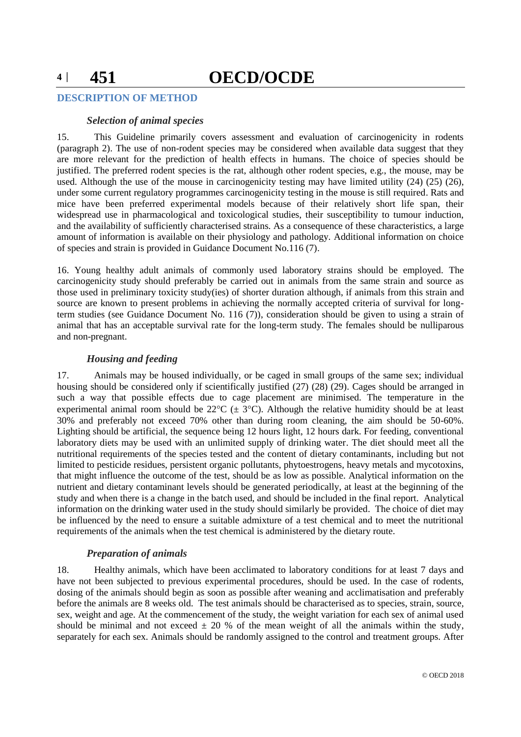## **DESCRIPTION OF METHOD**

#### *Selection of animal species*

15. This Guideline primarily covers assessment and evaluation of carcinogenicity in rodents (paragraph 2). The use of non-rodent species may be considered when available data suggest that they are more relevant for the prediction of health effects in humans. The choice of species should be justified. The preferred rodent species is the rat, although other rodent species, e.g., the mouse, may be used. Although the use of the mouse in carcinogenicity testing may have limited utility (24) (25) (26), under some current regulatory programmes carcinogenicity testing in the mouse is still required. Rats and mice have been preferred experimental models because of their relatively short life span, their widespread use in pharmacological and toxicological studies, their susceptibility to tumour induction, and the availability of sufficiently characterised strains. As a consequence of these characteristics, a large amount of information is available on their physiology and pathology. Additional information on choice of species and strain is provided in Guidance Document No.116 (7).

16. Young healthy adult animals of commonly used laboratory strains should be employed. The carcinogenicity study should preferably be carried out in animals from the same strain and source as those used in preliminary toxicity study(ies) of shorter duration although, if animals from this strain and source are known to present problems in achieving the normally accepted criteria of survival for longterm studies (see Guidance Document No. 116 (7)), consideration should be given to using a strain of animal that has an acceptable survival rate for the long-term study. The females should be nulliparous and non-pregnant.

# *Housing and feeding*

17. Animals may be housed individually, or be caged in small groups of the same sex; individual housing should be considered only if scientifically justified (27) (28) (29). Cages should be arranged in such a way that possible effects due to cage placement are minimised. The temperature in the experimental animal room should be  $22^{\circ}C \neq 3^{\circ}C$ . Although the relative humidity should be at least 30% and preferably not exceed 70% other than during room cleaning, the aim should be 50-60%. Lighting should be artificial, the sequence being 12 hours light, 12 hours dark. For feeding, conventional laboratory diets may be used with an unlimited supply of drinking water. The diet should meet all the nutritional requirements of the species tested and the content of dietary contaminants, including but not limited to pesticide residues, persistent organic pollutants, phytoestrogens, heavy metals and mycotoxins, that might influence the outcome of the test, should be as low as possible. Analytical information on the nutrient and dietary contaminant levels should be generated periodically, at least at the beginning of the study and when there is a change in the batch used, and should be included in the final report. Analytical information on the drinking water used in the study should similarly be provided. The choice of diet may be influenced by the need to ensure a suitable admixture of a test chemical and to meet the nutritional requirements of the animals when the test chemical is administered by the dietary route.

# *Preparation of animals*

18. Healthy animals, which have been acclimated to laboratory conditions for at least 7 days and have not been subjected to previous experimental procedures, should be used. In the case of rodents, dosing of the animals should begin as soon as possible after weaning and acclimatisation and preferably before the animals are 8 weeks old. The test animals should be characterised as to species, strain, source*,*  sex, weight and age. At the commencement of the study, the weight variation for each sex of animal used should be minimal and not exceed  $\pm$  20 % of the mean weight of all the animals within the study, separately for each sex. Animals should be randomly assigned to the control and treatment groups. After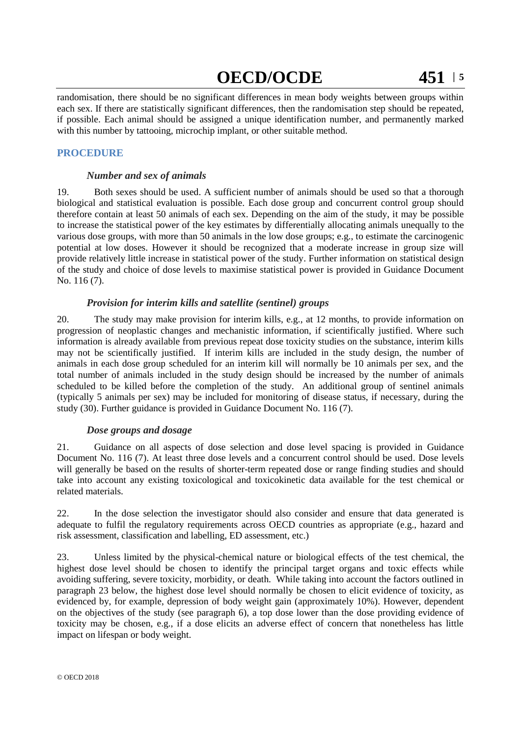# **OECD/OCDE 451 │ <sup>5</sup>**

randomisation, there should be no significant differences in mean body weights between groups within each sex. If there are statistically significant differences, then the randomisation step should be repeated, if possible. Each animal should be assigned a unique identification number, and permanently marked with this number by tattooing, microchip implant, or other suitable method.

# **PROCEDURE**

# *Number and sex of animals*

19. Both sexes should be used. A sufficient number of animals should be used so that a thorough biological and statistical evaluation is possible. Each dose group and concurrent control group should therefore contain at least 50 animals of each sex. Depending on the aim of the study, it may be possible to increase the statistical power of the key estimates by differentially allocating animals unequally to the various dose groups, with more than 50 animals in the low dose groups; e.g., to estimate the carcinogenic potential at low doses. However it should be recognized that a moderate increase in group size will provide relatively little increase in statistical power of the study. Further information on statistical design of the study and choice of dose levels to maximise statistical power is provided in Guidance Document No. 116 (7).

# *Provision for interim kills and satellite (sentinel) groups*

20. The study may make provision for interim kills, e.g., at 12 months, to provide information on progression of neoplastic changes and mechanistic information, if scientifically justified. Where such information is already available from previous repeat dose toxicity studies on the substance, interim kills may not be scientifically justified. If interim kills are included in the study design, the number of animals in each dose group scheduled for an interim kill will normally be 10 animals per sex, and the total number of animals included in the study design should be increased by the number of animals scheduled to be killed before the completion of the study. An additional group of sentinel animals (typically 5 animals per sex) may be included for monitoring of disease status, if necessary, during the study (30). Further guidance is provided in Guidance Document No. 116 (7).

## *Dose groups and dosage*

21. Guidance on all aspects of dose selection and dose level spacing is provided in Guidance Document No. 116 (7). At least three dose levels and a concurrent control should be used. Dose levels will generally be based on the results of shorter-term repeated dose or range finding studies and should take into account any existing toxicological and toxicokinetic data available for the test chemical or related materials.

22. In the dose selection the investigator should also consider and ensure that data generated is adequate to fulfil the regulatory requirements across OECD countries as appropriate (e.g., hazard and risk assessment, classification and labelling, ED assessment, etc.)

23. Unless limited by the physical-chemical nature or biological effects of the test chemical, the highest dose level should be chosen to identify the principal target organs and toxic effects while avoiding suffering, severe toxicity, morbidity, or death. While taking into account the factors outlined in paragraph 23 below, the highest dose level should normally be chosen to elicit evidence of toxicity, as evidenced by, for example, depression of body weight gain (approximately 10%). However, dependent on the objectives of the study (see paragraph 6), a top dose lower than the dose providing evidence of toxicity may be chosen, e.g., if a dose elicits an adverse effect of concern that nonetheless has little impact on lifespan or body weight.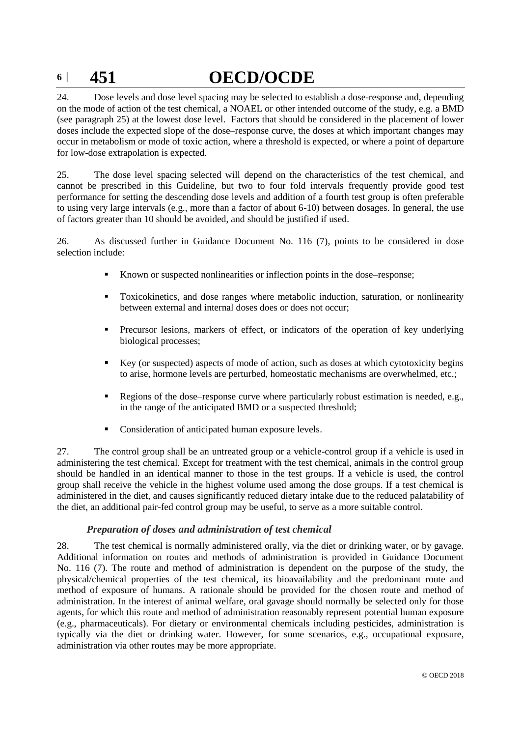24. Dose levels and dose level spacing may be selected to establish a dose-response and, depending on the mode of action of the test chemical, a NOAEL or other intended outcome of the study, e.g. a BMD (see paragraph 25) at the lowest dose level. Factors that should be considered in the placement of lower doses include the expected slope of the dose–response curve, the doses at which important changes may occur in metabolism or mode of toxic action, where a threshold is expected, or where a point of departure for low-dose extrapolation is expected.

25. The dose level spacing selected will depend on the characteristics of the test chemical, and cannot be prescribed in this Guideline, but two to four fold intervals frequently provide good test performance for setting the descending dose levels and addition of a fourth test group is often preferable to using very large intervals (e.g., more than a factor of about 6-10) between dosages. In general, the use of factors greater than 10 should be avoided, and should be justified if used.

26. As discussed further in Guidance Document No. 116 (7), points to be considered in dose selection include:

- Known or suspected nonlinearities or inflection points in the dose–response;
- Toxicokinetics, and dose ranges where metabolic induction, saturation, or nonlinearity between external and internal doses does or does not occur;
- **Precursor lesions, markers of effect, or indicators of the operation of key underlying** biological processes;
- Key (or suspected) aspects of mode of action, such as doses at which cytotoxicity begins to arise, hormone levels are perturbed, homeostatic mechanisms are overwhelmed, etc.;
- Regions of the dose–response curve where particularly robust estimation is needed, e.g., in the range of the anticipated BMD or a suspected threshold;
- Consideration of anticipated human exposure levels.

27. The control group shall be an untreated group or a vehicle-control group if a vehicle is used in administering the test chemical. Except for treatment with the test chemical, animals in the control group should be handled in an identical manner to those in the test groups. If a vehicle is used, the control group shall receive the vehicle in the highest volume used among the dose groups. If a test chemical is administered in the diet, and causes significantly reduced dietary intake due to the reduced palatability of the diet, an additional pair-fed control group may be useful, to serve as a more suitable control.

## *Preparation of doses and administration of test chemical*

28. The test chemical is normally administered orally, via the diet or drinking water, or by gavage. Additional information on routes and methods of administration is provided in Guidance Document No. 116 (7). The route and method of administration is dependent on the purpose of the study, the physical/chemical properties of the test chemical, its bioavailability and the predominant route and method of exposure of humans. A rationale should be provided for the chosen route and method of administration. In the interest of animal welfare, oral gavage should normally be selected only for those agents, for which this route and method of administration reasonably represent potential human exposure (e.g., pharmaceuticals). For dietary or environmental chemicals including pesticides, administration is typically via the diet or drinking water. However, for some scenarios, e.g., occupational exposure, administration via other routes may be more appropriate.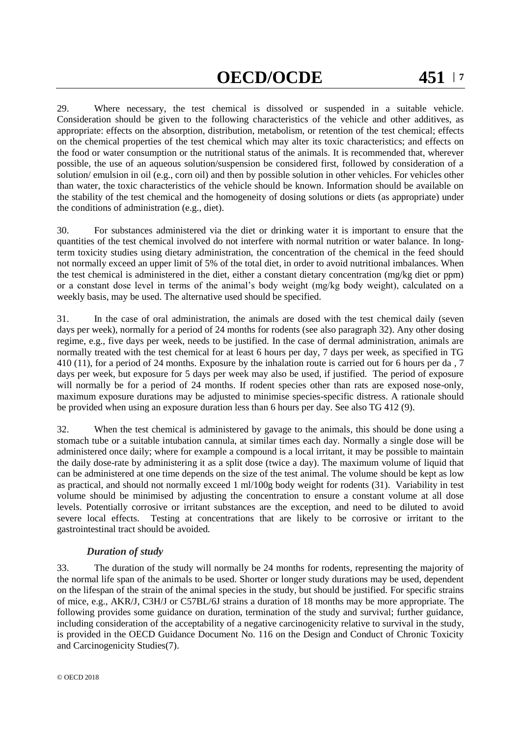29. Where necessary, the test chemical is dissolved or suspended in a suitable vehicle. Consideration should be given to the following characteristics of the vehicle and other additives, as appropriate: effects on the absorption, distribution, metabolism, or retention of the test chemical; effects on the chemical properties of the test chemical which may alter its toxic characteristics; and effects on the food or water consumption or the nutritional status of the animals. It is recommended that, wherever possible, the use of an aqueous solution/suspension be considered first, followed by consideration of a solution/ emulsion in oil (e.g., corn oil) and then by possible solution in other vehicles. For vehicles other than water, the toxic characteristics of the vehicle should be known. Information should be available on the stability of the test chemical and the homogeneity of dosing solutions or diets (as appropriate) under the conditions of administration (e.g., diet).

30. For substances administered via the diet or drinking water it is important to ensure that the quantities of the test chemical involved do not interfere with normal nutrition or water balance. In longterm toxicity studies using dietary administration, the concentration of the chemical in the feed should not normally exceed an upper limit of 5% of the total diet, in order to avoid nutritional imbalances. When the test chemical is administered in the diet, either a constant dietary concentration (mg/kg diet or ppm) or a constant dose level in terms of the animal's body weight (mg/kg body weight), calculated on a weekly basis, may be used. The alternative used should be specified.

31. In the case of oral administration, the animals are dosed with the test chemical daily (seven days per week), normally for a period of 24 months for rodents (see also paragraph 32). Any other dosing regime, e.g., five days per week, needs to be justified. In the case of dermal administration, animals are normally treated with the test chemical for at least 6 hours per day, 7 days per week, as specified in TG 410 (11), for a period of 24 months. Exposure by the inhalation route is carried out for 6 hours per da , 7 days per week, but exposure for 5 days per week may also be used, if justified. The period of exposure will normally be for a period of 24 months. If rodent species other than rats are exposed nose-only, maximum exposure durations may be adjusted to minimise species-specific distress. A rationale should be provided when using an exposure duration less than 6 hours per day. See also TG 412 (9).

32. When the test chemical is administered by gavage to the animals, this should be done using a stomach tube or a suitable intubation cannula, at similar times each day. Normally a single dose will be administered once daily; where for example a compound is a local irritant, it may be possible to maintain the daily dose-rate by administering it as a split dose (twice a day). The maximum volume of liquid that can be administered at one time depends on the size of the test animal. The volume should be kept as low as practical, and should not normally exceed 1 ml/100g body weight for rodents (31). Variability in test volume should be minimised by adjusting the concentration to ensure a constant volume at all dose levels. Potentially corrosive or irritant substances are the exception, and need to be diluted to avoid severe local effects. Testing at concentrations that are likely to be corrosive or irritant to the gastrointestinal tract should be avoided.

# *Duration of study*

33. The duration of the study will normally be 24 months for rodents, representing the majority of the normal life span of the animals to be used. Shorter or longer study durations may be used, dependent on the lifespan of the strain of the animal species in the study, but should be justified. For specific strains of mice, e.g., AKR/J, C3H/J or C57BL/6J strains a duration of 18 months may be more appropriate. The following provides some guidance on duration, termination of the study and survival; further guidance, including consideration of the acceptability of a negative carcinogenicity relative to survival in the study, is provided in the OECD Guidance Document No. 116 on the Design and Conduct of Chronic Toxicity and Carcinogenicity Studies(7).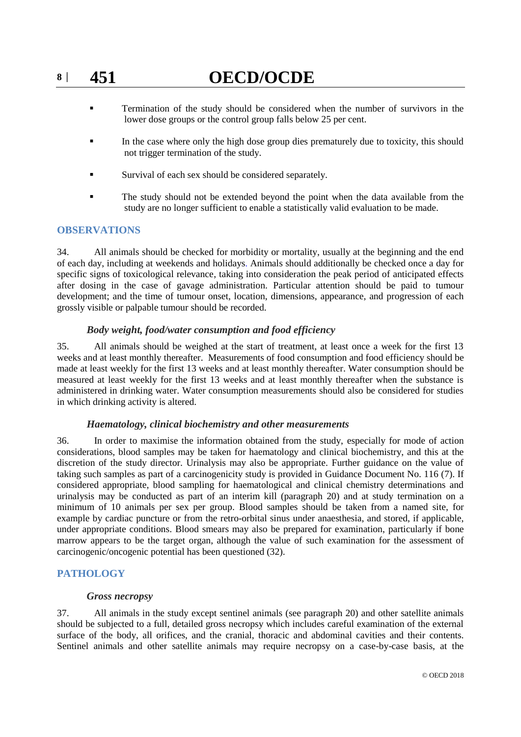- Termination of the study should be considered when the number of survivors in the lower dose groups or the control group falls below 25 per cent.
- In the case where only the high dose group dies prematurely due to toxicity, this should not trigger termination of the study.
- **Survival of each sex should be considered separately.**
- The study should not be extended beyond the point when the data available from the study are no longer sufficient to enable a statistically valid evaluation to be made.

# **OBSERVATIONS**

34. All animals should be checked for morbidity or mortality, usually at the beginning and the end of each day, including at weekends and holidays. Animals should additionally be checked once a day for specific signs of toxicological relevance, taking into consideration the peak period of anticipated effects after dosing in the case of gavage administration. Particular attention should be paid to tumour development; and the time of tumour onset, location, dimensions, appearance, and progression of each grossly visible or palpable tumour should be recorded.

# *Body weight, food/water consumption and food efficiency*

35. All animals should be weighed at the start of treatment, at least once a week for the first 13 weeks and at least monthly thereafter. Measurements of food consumption and food efficiency should be made at least weekly for the first 13 weeks and at least monthly thereafter. Water consumption should be measured at least weekly for the first 13 weeks and at least monthly thereafter when the substance is administered in drinking water. Water consumption measurements should also be considered for studies in which drinking activity is altered.

## *Haematology, clinical biochemistry and other measurements*

36. In order to maximise the information obtained from the study, especially for mode of action considerations, blood samples may be taken for haematology and clinical biochemistry, and this at the discretion of the study director. Urinalysis may also be appropriate. Further guidance on the value of taking such samples as part of a carcinogenicity study is provided in Guidance Document No. 116 (7). If considered appropriate, blood sampling for haematological and clinical chemistry determinations and urinalysis may be conducted as part of an interim kill (paragraph 20) and at study termination on a minimum of 10 animals per sex per group. Blood samples should be taken from a named site, for example by cardiac puncture or from the retro-orbital sinus under anaesthesia, and stored, if applicable, under appropriate conditions. Blood smears may also be prepared for examination, particularly if bone marrow appears to be the target organ, although the value of such examination for the assessment of carcinogenic/oncogenic potential has been questioned (32).

# **PATHOLOGY**

#### *Gross necropsy*

37. All animals in the study except sentinel animals (see paragraph 20) and other satellite animals should be subjected to a full, detailed gross necropsy which includes careful examination of the external surface of the body, all orifices, and the cranial, thoracic and abdominal cavities and their contents. Sentinel animals and other satellite animals may require necropsy on a case-by-case basis, at the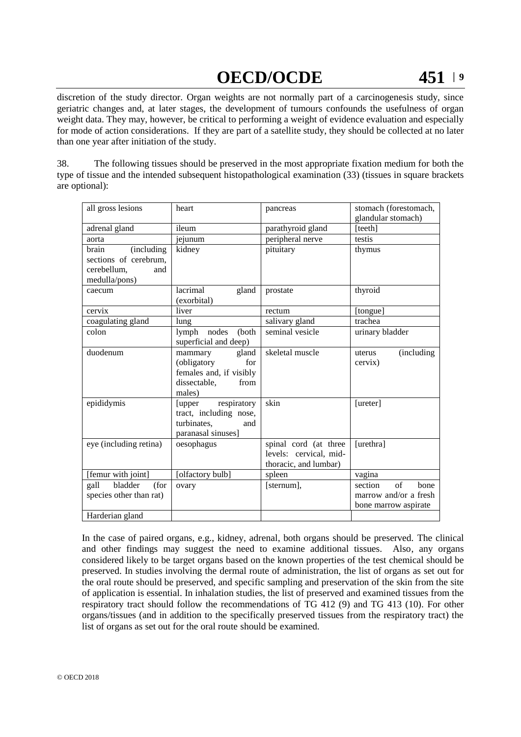# **OECD/OCDE 451 │ <sup>9</sup>**

discretion of the study director. Organ weights are not normally part of a carcinogenesis study, since geriatric changes and, at later stages, the development of tumours confounds the usefulness of organ weight data. They may, however, be critical to performing a weight of evidence evaluation and especially for mode of action considerations. If they are part of a satellite study, they should be collected at no later than one year after initiation of the study.

38. The following tissues should be preserved in the most appropriate fixation medium for both the type of tissue and the intended subsequent histopathological examination (33) (tissues in square brackets are optional):

| all gross lesions       | heart                   | pancreas                                        | stomach (forestomach,<br>glandular stomach) |
|-------------------------|-------------------------|-------------------------------------------------|---------------------------------------------|
| adrenal gland           | ileum                   | parathyroid gland                               | [teeth]                                     |
| aorta                   | jejunum                 | peripheral nerve                                | testis                                      |
| (including<br>brain     | kidney                  | pituitary                                       | thymus                                      |
| sections of cerebrum,   |                         |                                                 |                                             |
| cerebellum,<br>and      |                         |                                                 |                                             |
| medulla/pons)           |                         |                                                 |                                             |
| caecum                  | lacrimal<br>gland       | prostate                                        | thyroid                                     |
|                         | (exorbital)             |                                                 |                                             |
| cervix                  | liver                   | rectum                                          | [tongue]                                    |
| coagulating gland       | lung                    | salivary gland                                  | trachea                                     |
| colon                   | nodes<br>lymph<br>(both | seminal vesicle                                 | urinary bladder                             |
|                         | superficial and deep)   |                                                 |                                             |
| duodenum                | gland<br>mammary        | skeletal muscle                                 | (including<br>uterus                        |
|                         | (obligatory<br>for      |                                                 | cervix)                                     |
|                         | females and, if visibly |                                                 |                                             |
|                         | dissectable,<br>from    |                                                 |                                             |
|                         | males)                  |                                                 |                                             |
| epididymis              | respiratory<br>[upper   | skin                                            | [ureter]                                    |
|                         | tract, including nose,  |                                                 |                                             |
|                         | turbinates,<br>and      |                                                 |                                             |
|                         | paranasal sinuses]      |                                                 |                                             |
| eye (including retina)  | oesophagus              | spinal cord (at three<br>levels: cervical, mid- | [urethra]                                   |
|                         |                         |                                                 |                                             |
|                         |                         | thoracic, and lumbar)                           |                                             |
| [femur with joint]      | [olfactory bulb]        | spleen                                          | vagina<br>of                                |
| bladder<br>(for<br>gall | ovary                   | [sternum],                                      | section<br>bone<br>marrow and/or a fresh    |
| species other than rat) |                         |                                                 | bone marrow aspirate                        |
| Harderian gland         |                         |                                                 |                                             |
|                         |                         |                                                 |                                             |

In the case of paired organs, e.g., kidney, adrenal, both organs should be preserved. The clinical and other findings may suggest the need to examine additional tissues. Also, any organs considered likely to be target organs based on the known properties of the test chemical should be preserved. In studies involving the dermal route of administration, the list of organs as set out for the oral route should be preserved, and specific sampling and preservation of the skin from the site of application is essential. In inhalation studies, the list of preserved and examined tissues from the respiratory tract should follow the recommendations of TG 412 (9) and TG 413 (10). For other organs/tissues (and in addition to the specifically preserved tissues from the respiratory tract) the list of organs as set out for the oral route should be examined.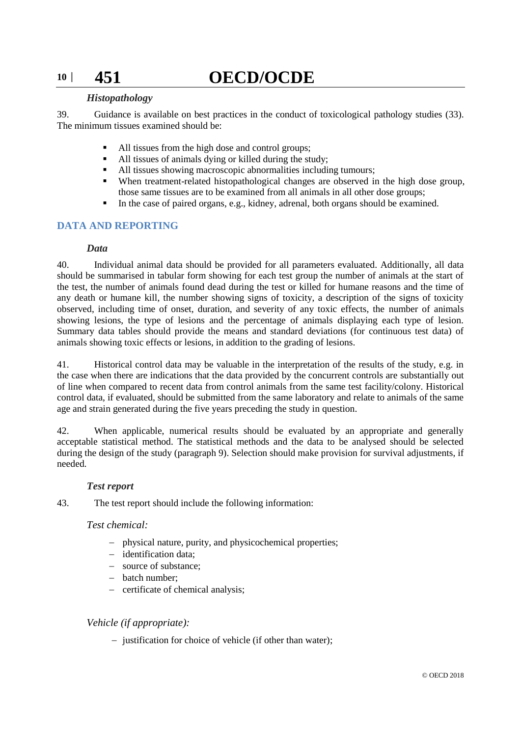# *Histopathology*

39. Guidance is available on best practices in the conduct of toxicological pathology studies (33). The minimum tissues examined should be:

- All tissues from the high dose and control groups;
- All tissues of animals dying or killed during the study;
- All tissues showing macroscopic abnormalities including tumours;
- When treatment-related histopathological changes are observed in the high dose group, those same tissues are to be examined from all animals in all other dose groups;
- In the case of paired organs, e.g., kidney, adrenal, both organs should be examined.

# **DATA AND REPORTING**

## *Data*

40. Individual animal data should be provided for all parameters evaluated. Additionally, all data should be summarised in tabular form showing for each test group the number of animals at the start of the test, the number of animals found dead during the test or killed for humane reasons and the time of any death or humane kill, the number showing signs of toxicity, a description of the signs of toxicity observed, including time of onset, duration, and severity of any toxic effects, the number of animals showing lesions, the type of lesions and the percentage of animals displaying each type of lesion. Summary data tables should provide the means and standard deviations (for continuous test data) of animals showing toxic effects or lesions, in addition to the grading of lesions.

41. Historical control data may be valuable in the interpretation of the results of the study, e.g. in the case when there are indications that the data provided by the concurrent controls are substantially out of line when compared to recent data from control animals from the same test facility/colony. Historical control data, if evaluated, should be submitted from the same laboratory and relate to animals of the same age and strain generated during the five years preceding the study in question.

42. When applicable, numerical results should be evaluated by an appropriate and generally acceptable statistical method. The statistical methods and the data to be analysed should be selected during the design of the study (paragraph 9). Selection should make provision for survival adjustments, if needed.

## *Test report*

43. The test report should include the following information:

# *Test chemical:*

- physical nature, purity, and physicochemical properties;
- identification data;
- source of substance:
- batch number:
- certificate of chemical analysis;

# *Vehicle (if appropriate):*

 $-$  justification for choice of vehicle (if other than water);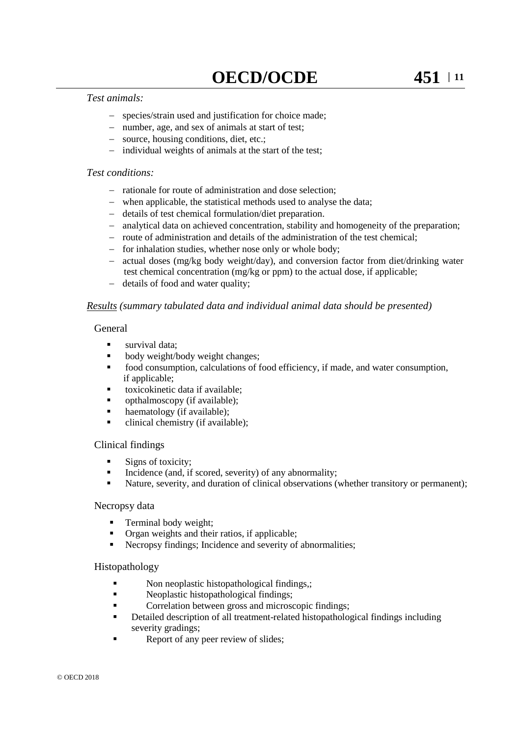## *Test animals:*

- species/strain used and justification for choice made;
- number, age, and sex of animals at start of test;
- source, housing conditions, diet, etc.;
- individual weights of animals at the start of the test;

#### *Test conditions:*

- rationale for route of administration and dose selection;
- when applicable, the statistical methods used to analyse the data;
- details of test chemical formulation/diet preparation.
- analytical data on achieved concentration, stability and homogeneity of the preparation;
- route of administration and details of the administration of the test chemical;
- for inhalation studies, whether nose only or whole body;
- $-$  actual doses (mg/kg body weight/day), and conversion factor from diet/drinking water test chemical concentration (mg/kg or ppm) to the actual dose, if applicable;
- details of food and water quality;

### *Results (summary tabulated data and individual animal data should be presented)*

#### General

- survival data;
- **body weight/body weight changes;**
- food consumption, calculations of food efficiency, if made, and water consumption, if applicable;
- toxicokinetic data if available;
- $\Box$  opthalmoscopy (if available);
- haematology (if available);
- clinical chemistry (if available);

#### Clinical findings

- Signs of toxicity;
- Incidence (and, if scored, severity) of any abnormality;
- Nature, severity, and duration of clinical observations (whether transitory or permanent);

### Necropsy data

- **Terminal body weight;**
- Organ weights and their ratios, if applicable;
- Necropsy findings; Incidence and severity of abnormalities;

#### Histopathology

- Non neoplastic histopathological findings,:
- Neoplastic histopathological findings;
- **Correlation between gross and microscopic findings;**
- Detailed description of all treatment-related histopathological findings including severity gradings;
- Report of any peer review of slides;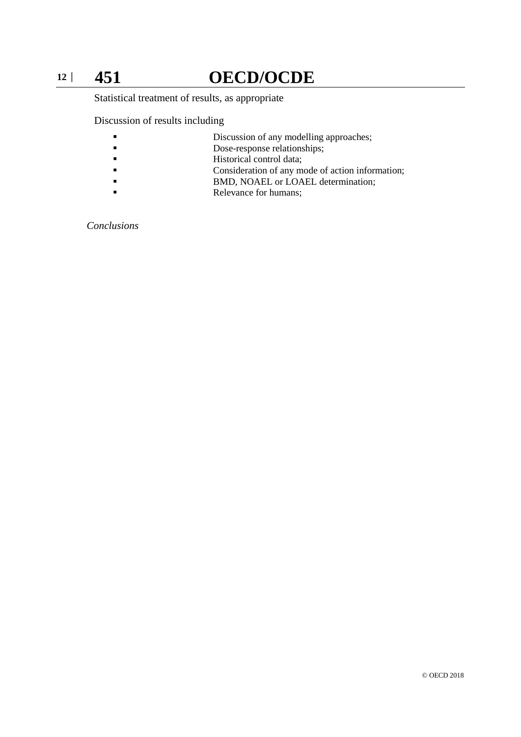Statistical treatment of results, as appropriate

Discussion of results including

- Discussion of any modelling approaches;<br>Dose-response relationships:
- Dose-response relationships;
- Historical control data;
- Consideration of any mode of action information;
- **BMD, NOAEL or LOAEL determination;**<br>Relevance for humans:
- Relevance for humans;

*Conclusions*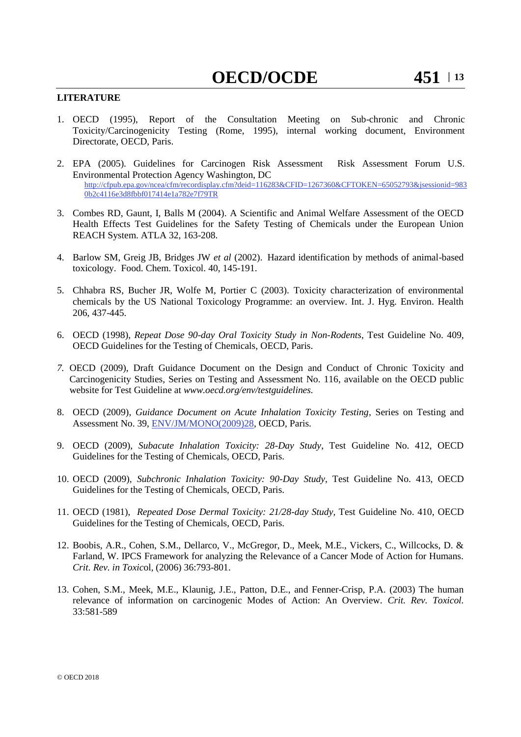#### **LITERATURE**

- 1. OECD (1995), Report of the Consultation Meeting on Sub-chronic and Chronic Toxicity/Carcinogenicity Testing (Rome, 1995), internal working document, Environment Directorate, OECD, Paris.
- 2. EPA (2005). Guidelines for Carcinogen Risk Assessment Risk Assessment Forum U.S. Environmental Protection Agency Washington, DC [http://cfpub.epa.gov/ncea/cfm/recordisplay.cfm?deid=116283&CFID=1267360&CFTOKEN=65052793&jsessionid=983](http://cfpub.epa.gov/ncea/cfm/recordisplay.cfm?deid=116283&CFID=1267360&CFTOKEN=65052793&jsessionid=9830b2c4116e3d8fbbf017414e1a782e7f79TR) [0b2c4116e3d8fbbf017414e1a782e7f79TR](http://cfpub.epa.gov/ncea/cfm/recordisplay.cfm?deid=116283&CFID=1267360&CFTOKEN=65052793&jsessionid=9830b2c4116e3d8fbbf017414e1a782e7f79TR)
- 3. Combes RD, Gaunt, I, Balls M (2004). A Scientific and Animal Welfare Assessment of the OECD Health Effects Test Guidelines for the Safety Testing of Chemicals under the European Union REACH System. ATLA 32, 163-208.
- 4. Barlow SM, Greig JB, Bridges JW *et al* (2002). Hazard identification by methods of animal-based toxicology. Food. Chem. Toxicol. 40, 145-191.
- 5. Chhabra RS, Bucher JR, Wolfe M, Portier C (2003). Toxicity characterization of environmental chemicals by the US National Toxicology Programme: an overview. Int. J. Hyg. Environ. Health 206, 437-445.
- 6. OECD (1998), *Repeat Dose 90-day Oral Toxicity Study in Non-Rodents*, Test Guideline No. 409, OECD Guidelines for the Testing of Chemicals, OECD, Paris.
- *7.* OECD (2009), Draft Guidance Document on the Design and Conduct of Chronic Toxicity and Carcinogenicity Studies*,* Series on Testing and Assessment No. 116, available on the OECD public website for Test Guideline at *www.oecd.org/env/testguidelines.*
- 8. OECD (2009), *Guidance Document on Acute Inhalation Toxicity Testing*, Series on Testing and Assessment No. 39, [ENV/JM/MONO\(2009\)28,](https://one.oecd.org/document/ENV/JM/MONO(2009)28/en/pdf) OECD, Paris.
- 9. OECD (2009), *Subacute Inhalation Toxicity: 28-Day Study*, Test Guideline No. 412, OECD Guidelines for the Testing of Chemicals, OECD, Paris.
- 10. OECD (2009), *Subchronic Inhalation Toxicity: 90-Day Study*, Test Guideline No. 413, OECD Guidelines for the Testing of Chemicals, OECD, Paris.
- 11. OECD (1981), *Repeated Dose Dermal Toxicity: 21/28-day Study,* Test Guideline No. 410, OECD Guidelines for the Testing of Chemicals, OECD, Paris.
- 12. Boobis, A.R., Cohen, S.M., Dellarco, V., McGregor, D., Meek, M.E., Vickers, C., Willcocks, D. & Farland, W. IPCS Framework for analyzing the Relevance of a Cancer Mode of Action for Humans. *Crit. Rev. in Toxic*ol, (2006) 36:793-801.
- 13. Cohen, S.M., Meek, M.E., Klaunig, J.E., Patton, D.E., and Fenner-Crisp, P.A. (2003) The human relevance of information on carcinogenic Modes of Action: An Overview. *Crit. Rev. Toxicol.*  33:581-589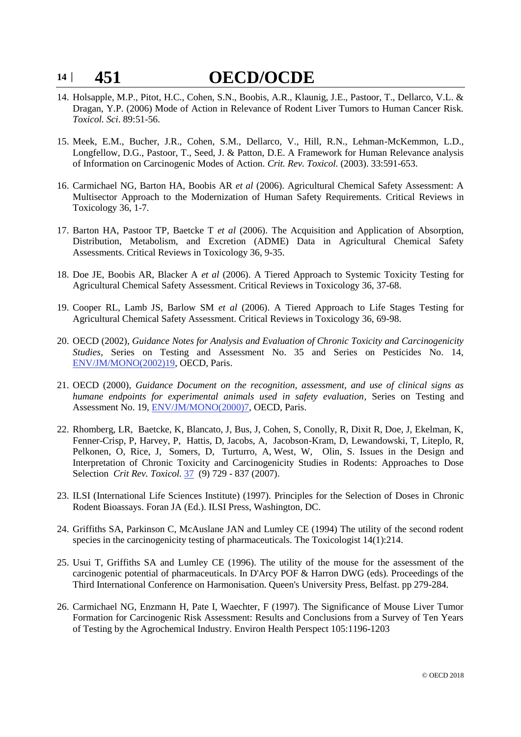- 14. Holsapple, M.P., Pitot, H.C., Cohen, S.N., Boobis, A.R., Klaunig, J.E., Pastoor, T., Dellarco, V.L. & Dragan, Y.P. (2006) Mode of Action in Relevance of Rodent Liver Tumors to Human Cancer Risk. *Toxicol. Sci*. 89:51-56.
- 15. Meek, E.M., Bucher, J.R., Cohen, S.M., Dellarco, V., Hill, R.N., Lehman-McKemmon, L.D., Longfellow, D.G., Pastoor, T., Seed, J. & Patton, D.E. A Framework for Human Relevance analysis of Information on Carcinogenic Modes of Action. *Crit. Rev. Toxicol.* (2003). 33:591-653.
- 16. Carmichael NG, Barton HA, Boobis AR *et al* (2006). Agricultural Chemical Safety Assessment: A Multisector Approach to the Modernization of Human Safety Requirements. Critical Reviews in Toxicology 36, 1-7.
- 17. Barton HA, Pastoor TP, Baetcke T *et al* (2006). The Acquisition and Application of Absorption, Distribution, Metabolism, and Excretion (ADME) Data in Agricultural Chemical Safety Assessments. Critical Reviews in Toxicology 36, 9-35.
- 18. Doe JE, Boobis AR, Blacker A *et al* (2006). A Tiered Approach to Systemic Toxicity Testing for Agricultural Chemical Safety Assessment. Critical Reviews in Toxicology 36, 37-68.
- 19. Cooper RL, Lamb JS, Barlow SM *et al* (2006). A Tiered Approach to Life Stages Testing for Agricultural Chemical Safety Assessment. Critical Reviews in Toxicology 36, 69-98.
- 20. OECD (2002), *Guidance Notes for Analysis and Evaluation of Chronic Toxicity and Carcinogenicity Studies,* Series on Testing and Assessment No. 35 and Series on Pesticides No. 14, [ENV/JM/MONO\(2002\)19,](https://one.oecd.org/document/ENV/JM/MONO(2002)19/en/pdf) OECD, Paris.
- 21. OECD (2000), *Guidance Document on the recognition, assessment, and use of clinical signs as humane endpoints for experimental animals used in safety evaluation*, Series on Testing and Assessment No. 19, [ENV/JM/MONO\(2000\)7,](https://one.oecd.org/document/ENV/JM/MONO(2000)7/en/pdf) OECD, Paris.
- 22. Rhomberg, LR, Baetcke, K, Blancato, J, Bus, J, Cohen, S, Conolly, R, Dixit R, Doe, J, Ekelman, K, Fenner-Crisp, P, Harvey, P, Hattis, D, Jacobs, A, Jacobson-Kram, D, Lewandowski, T, Liteplo, R, Pelkonen, O, Rice, J, Somers, D, Turturro, A, West, W, Olin, S. Issues in the Design and Interpretation of Chronic Toxicity and Carcinogenicity Studies in Rodents: Approaches to Dose Selection *Crit Rev. Toxicol.* [37](http://www.informaworld.com/smpp/title~content=t713401167~db=all~tab=issueslist~branches=37#v37) (9) 729 - 837 (2007).
- 23. ILSI (International Life Sciences Institute) (1997). Principles for the Selection of Doses in Chronic Rodent Bioassays. Foran JA (Ed.). ILSI Press, Washington, DC.
- 24. Griffiths SA, Parkinson C, McAuslane JAN and Lumley CE (1994) The utility of the second rodent species in the carcinogenicity testing of pharmaceuticals. The Toxicologist 14(1):214.
- 25. Usui T, Griffiths SA and Lumley CE (1996). The utility of the mouse for the assessment of the carcinogenic potential of pharmaceuticals. In D'Arcy POF & Harron DWG (eds). Proceedings of the Third International Conference on Harmonisation. Queen's University Press, Belfast. pp 279-284.
- 26. Carmichael NG, Enzmann H, Pate I, Waechter, F (1997). The Significance of Mouse Liver Tumor Formation for Carcinogenic Risk Assessment: Results and Conclusions from a Survey of Ten Years of Testing by the Agrochemical Industry. Environ Health Perspect 105:1196-1203